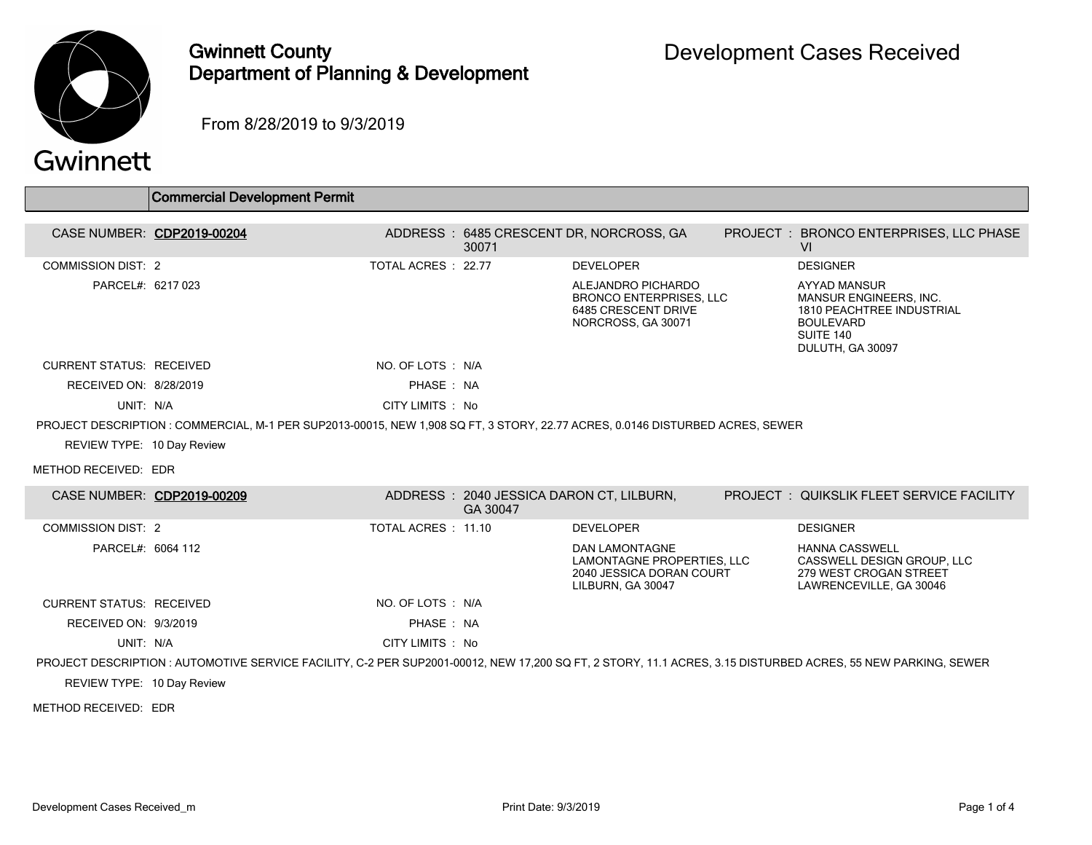

## Gwinnett County Department of Planning & Development

PROJECT : BRONCO ENTERPRISES, LLC PHASE

MANSUR ENGINEERS, INC. 1810 PEACHTREE INDUSTRIAL

AYYAD MANSUR

BOULEVARD SUITE 140 DULUTH, GA 30097

From 8/28/2019 to 9/3/2019

|                                 | <b>Commercial Development Permit</b>                                                                                          |                     |       |                                                                                                   |                 |                                                                                             |
|---------------------------------|-------------------------------------------------------------------------------------------------------------------------------|---------------------|-------|---------------------------------------------------------------------------------------------------|-----------------|---------------------------------------------------------------------------------------------|
|                                 | CASE NUMBER: CDP2019-00204                                                                                                    |                     | 30071 | ADDRESS: 6485 CRESCENT DR, NORCROSS, GA                                                           | PROJECT: BRONCO | VI                                                                                          |
| <b>COMMISSION DIST: 2</b>       |                                                                                                                               | TOTAL ACRES : 22.77 |       | <b>DEVELOPER</b>                                                                                  |                 | <b>DESIGNER</b>                                                                             |
| PARCEL#: 6217 023               |                                                                                                                               |                     |       | ALEJANDRO PICHARDO<br><b>BRONCO ENTERPRISES, LLC</b><br>6485 CRESCENT DRIVE<br>NORCROSS, GA 30071 |                 | AYYAD MA<br><b>MANSURE</b><br><b>1810 PEAC</b><br><b>BOULEVAF</b><br>SUITE 140<br>DULUTH, G |
| <b>CURRENT STATUS: RECEIVED</b> |                                                                                                                               | NO. OF LOTS : N/A   |       |                                                                                                   |                 |                                                                                             |
| RECEIVED ON: 8/28/2019          |                                                                                                                               | PHASE: NA           |       |                                                                                                   |                 |                                                                                             |
| UNIT: N/A                       |                                                                                                                               | CITY LIMITS : No    |       |                                                                                                   |                 |                                                                                             |
|                                 | PROJECT DESCRIPTION : COMMERCIAL, M-1 PER SUP2013-00015, NEW 1.908 SQ FT, 3 STORY, 22.77 ACRES, 0.0146 DISTURBED ACRES, SEWER |                     |       |                                                                                                   |                 |                                                                                             |
| REVIEW TYPE: 10 Day Review      |                                                                                                                               |                     |       |                                                                                                   |                 |                                                                                             |
| METHOD RECEIVED: EDR            |                                                                                                                               |                     |       |                                                                                                   |                 |                                                                                             |

| CASE NUMBER: CDP2019-00209 |                                                                                                                                                              |                   | ADDRESS: 2040 JESSICA DARON CT, LILBURN,<br>GA 30047 |                                                                                               | <b>PROJECT : QUIKSLIK FLEET SERVICE FACILITY</b>                                                         |
|----------------------------|--------------------------------------------------------------------------------------------------------------------------------------------------------------|-------------------|------------------------------------------------------|-----------------------------------------------------------------------------------------------|----------------------------------------------------------------------------------------------------------|
| COMMISSION DIST: 2         |                                                                                                                                                              | TOTAL ACRES 11.10 |                                                      | <b>DEVELOPER</b>                                                                              | <b>DESIGNER</b>                                                                                          |
| PARCEL#: 6064 112          |                                                                                                                                                              |                   |                                                      | DAN LAMONTAGNE<br>LAMONTAGNE PROPERTIES, LLC<br>2040 JESSICA DORAN COURT<br>LILBURN, GA 30047 | <b>HANNA CASSWELL</b><br>CASSWELL DESIGN GROUP, LLC<br>279 WEST CROGAN STREET<br>LAWRENCEVILLE, GA 30046 |
| CURRENT STATUS: RECEIVED   |                                                                                                                                                              | NO. OF LOTS : N/A |                                                      |                                                                                               |                                                                                                          |
| RECEIVED ON: 9/3/2019      |                                                                                                                                                              | PHASE: NA         |                                                      |                                                                                               |                                                                                                          |
| UNIT: N/A                  |                                                                                                                                                              | CITY LIMITS : No  |                                                      |                                                                                               |                                                                                                          |
|                            | PROJECT DESCRIPTION : AUTOMOTIVE SERVICE FACILITY, C-2 PER SUP2001-00012, NEW 17,200 SQ FT, 2 STORY, 11.1 ACRES, 3.15 DISTURBED ACRES, 55 NEW PARKING, SEWER |                   |                                                      |                                                                                               |                                                                                                          |
| REVIEW TYPE: 10 Day Review |                                                                                                                                                              |                   |                                                      |                                                                                               |                                                                                                          |

METHOD RECEIVED: EDR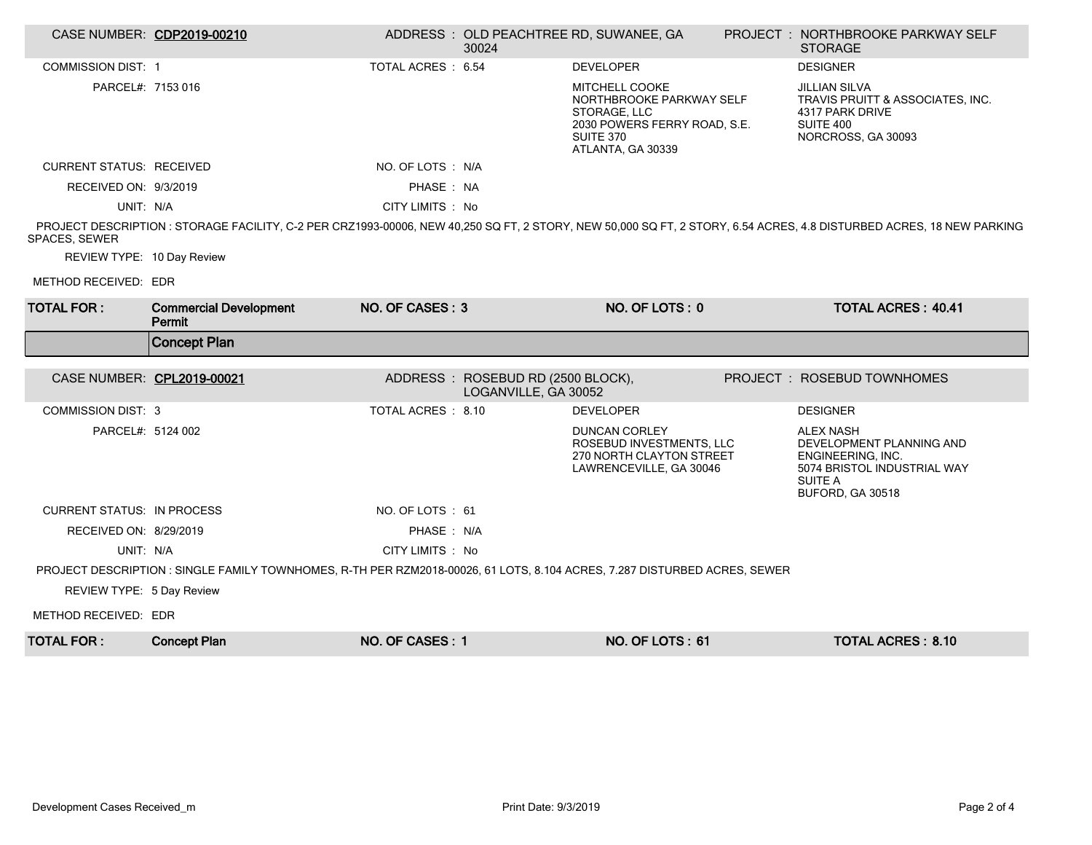|                                   | CASE NUMBER: CDP2019-00210                                                                                                |                    | 30024                                                     | ADDRESS: OLD PEACHTREE RD, SUWANEE, GA                                                                                              | <b>PROJECT : NORTHBROOKE PARKWAY SELF</b><br><b>STORAGE</b>                                                                                                         |
|-----------------------------------|---------------------------------------------------------------------------------------------------------------------------|--------------------|-----------------------------------------------------------|-------------------------------------------------------------------------------------------------------------------------------------|---------------------------------------------------------------------------------------------------------------------------------------------------------------------|
| <b>COMMISSION DIST: 1</b>         |                                                                                                                           | TOTAL ACRES: 6.54  |                                                           | <b>DEVELOPER</b>                                                                                                                    | <b>DESIGNER</b>                                                                                                                                                     |
| PARCEL#: 7153 016                 |                                                                                                                           |                    |                                                           | <b>MITCHELL COOKE</b><br>NORTHBROOKE PARKWAY SELF<br>STORAGE, LLC<br>2030 POWERS FERRY ROAD, S.E.<br>SUITE 370<br>ATLANTA, GA 30339 | <b>JILLIAN SILVA</b><br>TRAVIS PRUITT & ASSOCIATES, INC.<br>4317 PARK DRIVE<br>SUITE 400<br>NORCROSS, GA 30093                                                      |
| <b>CURRENT STATUS: RECEIVED</b>   |                                                                                                                           | NO. OF LOTS : N/A  |                                                           |                                                                                                                                     |                                                                                                                                                                     |
| RECEIVED ON: 9/3/2019             |                                                                                                                           | PHASE: NA          |                                                           |                                                                                                                                     |                                                                                                                                                                     |
| UNIT: N/A                         |                                                                                                                           | CITY LIMITS : No   |                                                           |                                                                                                                                     |                                                                                                                                                                     |
| <b>SPACES, SEWER</b>              |                                                                                                                           |                    |                                                           |                                                                                                                                     | PROJECT DESCRIPTION: STORAGE FACILITY, C-2 PER CRZ1993-00006, NEW 40,250 SQ FT, 2 STORY, NEW 50,000 SQ FT, 2 STORY, 6.54 ACRES, 4.8 DISTURBED ACRES, 18 NEW PARKING |
| REVIEW TYPE: 10 Day Review        |                                                                                                                           |                    |                                                           |                                                                                                                                     |                                                                                                                                                                     |
| METHOD RECEIVED: EDR              |                                                                                                                           |                    |                                                           |                                                                                                                                     |                                                                                                                                                                     |
| <b>TOTAL FOR:</b>                 | <b>Commercial Development</b><br>Permit                                                                                   | NO. OF CASES: 3    |                                                           | NO. OF LOTS: 0                                                                                                                      | <b>TOTAL ACRES: 40.41</b>                                                                                                                                           |
|                                   | <b>Concept Plan</b>                                                                                                       |                    |                                                           |                                                                                                                                     |                                                                                                                                                                     |
|                                   |                                                                                                                           |                    |                                                           |                                                                                                                                     |                                                                                                                                                                     |
|                                   | CASE NUMBER: CPL2019-00021                                                                                                |                    | ADDRESS: ROSEBUD RD (2500 BLOCK),<br>LOGANVILLE, GA 30052 |                                                                                                                                     | PROJECT : ROSEBUD TOWNHOMES                                                                                                                                         |
| <b>COMMISSION DIST: 3</b>         |                                                                                                                           | TOTAL ACRES : 8.10 |                                                           | <b>DEVELOPER</b>                                                                                                                    | <b>DESIGNER</b>                                                                                                                                                     |
| PARCEL#: 5124 002                 |                                                                                                                           |                    |                                                           | <b>DUNCAN CORLEY</b><br>ROSEBUD INVESTMENTS, LLC<br>270 NORTH CLAYTON STREET<br>LAWRENCEVILLE, GA 30046                             | <b>ALEX NASH</b><br>DEVELOPMENT PLANNING AND<br>ENGINEERING, INC.<br>5074 BRISTOL INDUSTRIAL WAY<br><b>SUITE A</b><br>BUFORD, GA 30518                              |
| <b>CURRENT STATUS: IN PROCESS</b> |                                                                                                                           | NO. OF LOTS: 61    |                                                           |                                                                                                                                     |                                                                                                                                                                     |
| RECEIVED ON: 8/29/2019            |                                                                                                                           | PHASE: N/A         |                                                           |                                                                                                                                     |                                                                                                                                                                     |
| UNIT: N/A                         |                                                                                                                           | CITY LIMITS : No   |                                                           |                                                                                                                                     |                                                                                                                                                                     |
|                                   | PROJECT DESCRIPTION : SINGLE FAMILY TOWNHOMES, R-TH PER RZM2018-00026, 61 LOTS, 8.104 ACRES, 7.287 DISTURBED ACRES, SEWER |                    |                                                           |                                                                                                                                     |                                                                                                                                                                     |
| REVIEW TYPE: 5 Day Review         |                                                                                                                           |                    |                                                           |                                                                                                                                     |                                                                                                                                                                     |
| METHOD RECEIVED: EDR              |                                                                                                                           |                    |                                                           |                                                                                                                                     |                                                                                                                                                                     |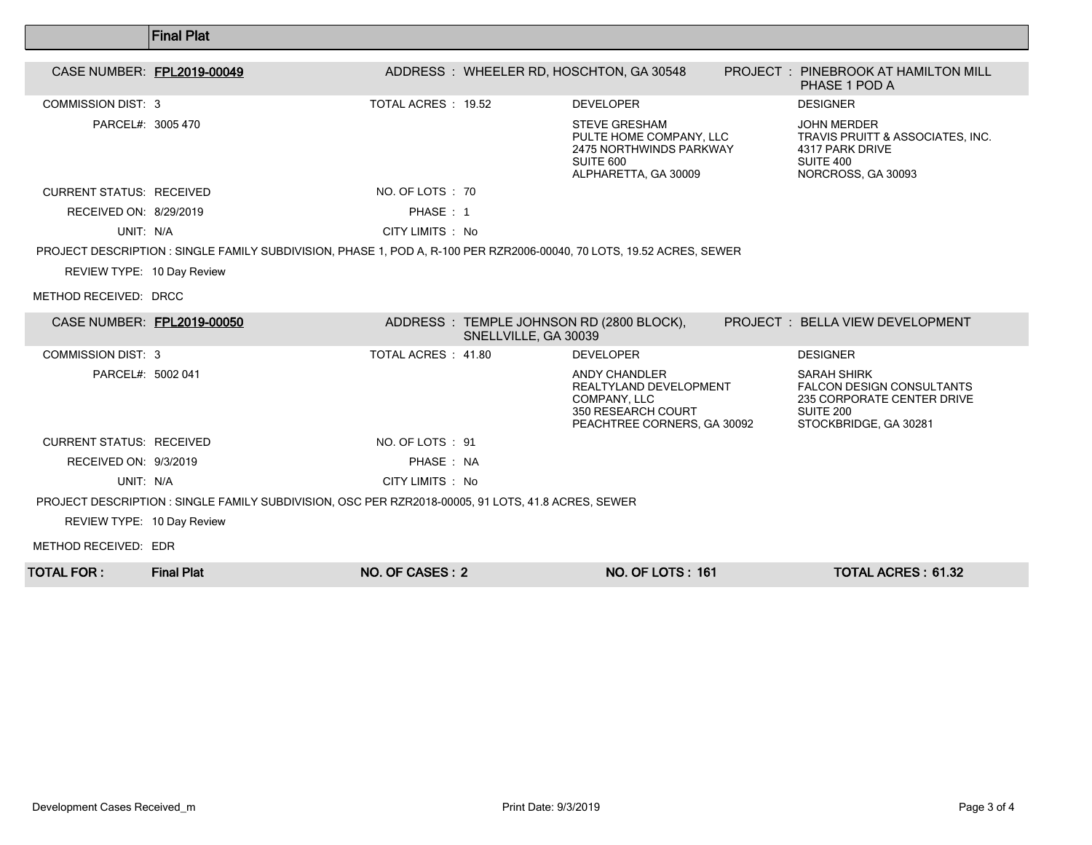|                                 | <b>Final Plat</b>                                                                                                    |                     |                      |                                                                                                                     |  |                                                                                                                            |  |  |  |  |
|---------------------------------|----------------------------------------------------------------------------------------------------------------------|---------------------|----------------------|---------------------------------------------------------------------------------------------------------------------|--|----------------------------------------------------------------------------------------------------------------------------|--|--|--|--|
|                                 |                                                                                                                      |                     |                      |                                                                                                                     |  |                                                                                                                            |  |  |  |  |
| CASE NUMBER: FPL2019-00049      |                                                                                                                      |                     |                      | ADDRESS: WHEELER RD, HOSCHTON, GA 30548                                                                             |  | <b>PROJECT : PINEBROOK AT HAMILTON MILL</b><br>PHASE 1 POD A                                                               |  |  |  |  |
| <b>COMMISSION DIST: 3</b>       |                                                                                                                      | TOTAL ACRES : 19.52 |                      | <b>DEVELOPER</b>                                                                                                    |  | <b>DESIGNER</b>                                                                                                            |  |  |  |  |
| PARCEL#: 3005 470               |                                                                                                                      |                     |                      | <b>STEVE GRESHAM</b><br>PULTE HOME COMPANY, LLC<br>2475 NORTHWINDS PARKWAY<br>SUITE 600<br>ALPHARETTA, GA 30009     |  | <b>JOHN MERDER</b><br><b>TRAVIS PRUITT &amp; ASSOCIATES. INC.</b><br>4317 PARK DRIVE<br>SUITE 400<br>NORCROSS, GA 30093    |  |  |  |  |
| <b>CURRENT STATUS: RECEIVED</b> |                                                                                                                      | NO. OF LOTS : 70    |                      |                                                                                                                     |  |                                                                                                                            |  |  |  |  |
| RECEIVED ON: 8/29/2019          |                                                                                                                      | PHASE: 1            |                      |                                                                                                                     |  |                                                                                                                            |  |  |  |  |
| UNIT: N/A                       |                                                                                                                      | CITY LIMITS : No    |                      |                                                                                                                     |  |                                                                                                                            |  |  |  |  |
|                                 | PROJECT DESCRIPTION: SINGLE FAMILY SUBDIVISION, PHASE 1, POD A, R-100 PER RZR2006-00040, 70 LOTS, 19.52 ACRES, SEWER |                     |                      |                                                                                                                     |  |                                                                                                                            |  |  |  |  |
| REVIEW TYPE: 10 Day Review      |                                                                                                                      |                     |                      |                                                                                                                     |  |                                                                                                                            |  |  |  |  |
| METHOD RECEIVED: DRCC           |                                                                                                                      |                     |                      |                                                                                                                     |  |                                                                                                                            |  |  |  |  |
| CASE NUMBER: FPL2019-00050      |                                                                                                                      |                     | SNELLVILLE, GA 30039 | ADDRESS: TEMPLE JOHNSON RD (2800 BLOCK),                                                                            |  | PROJECT: BELLA VIEW DEVELOPMENT                                                                                            |  |  |  |  |
| <b>COMMISSION DIST: 3</b>       |                                                                                                                      | TOTAL ACRES : 41.80 |                      | <b>DEVELOPER</b>                                                                                                    |  | <b>DESIGNER</b>                                                                                                            |  |  |  |  |
| PARCEL#: 5002 041               |                                                                                                                      |                     |                      | <b>ANDY CHANDLER</b><br>REALTYLAND DEVELOPMENT<br>COMPANY, LLC<br>350 RESEARCH COURT<br>PEACHTREE CORNERS, GA 30092 |  | <b>SARAH SHIRK</b><br><b>FALCON DESIGN CONSULTANTS</b><br>235 CORPORATE CENTER DRIVE<br>SUITE 200<br>STOCKBRIDGE, GA 30281 |  |  |  |  |
| <b>CURRENT STATUS: RECEIVED</b> |                                                                                                                      | NO. OF LOTS: 91     |                      |                                                                                                                     |  |                                                                                                                            |  |  |  |  |
| RECEIVED ON: 9/3/2019           |                                                                                                                      | PHASE: NA           |                      |                                                                                                                     |  |                                                                                                                            |  |  |  |  |
| UNIT: N/A                       |                                                                                                                      | CITY LIMITS : No    |                      |                                                                                                                     |  |                                                                                                                            |  |  |  |  |
|                                 | PROJECT DESCRIPTION : SINGLE FAMILY SUBDIVISION, OSC PER RZR2018-00005, 91 LOTS, 41.8 ACRES, SEWER                   |                     |                      |                                                                                                                     |  |                                                                                                                            |  |  |  |  |
| REVIEW TYPE: 10 Day Review      |                                                                                                                      |                     |                      |                                                                                                                     |  |                                                                                                                            |  |  |  |  |
| METHOD RECEIVED: EDR            |                                                                                                                      |                     |                      |                                                                                                                     |  |                                                                                                                            |  |  |  |  |
| <b>TOTAL FOR :</b>              | <b>Final Plat</b>                                                                                                    | NO. OF CASES: 2     |                      | <b>NO. OF LOTS: 161</b>                                                                                             |  | <b>TOTAL ACRES: 61.32</b>                                                                                                  |  |  |  |  |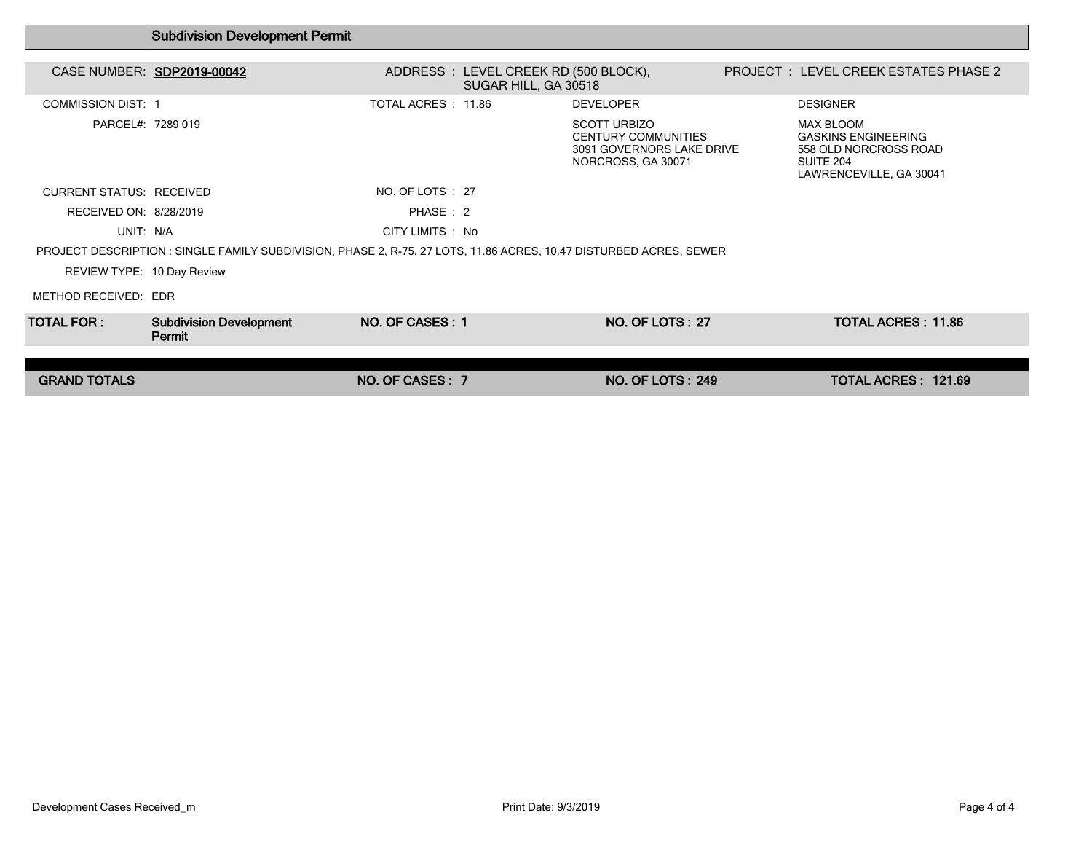|                                 | <b>Subdivision Development Permit</b>                                                                             |                     |                                                               |                                                                                                      |                                                                                                                 |  |
|---------------------------------|-------------------------------------------------------------------------------------------------------------------|---------------------|---------------------------------------------------------------|------------------------------------------------------------------------------------------------------|-----------------------------------------------------------------------------------------------------------------|--|
| CASE NUMBER: SDP2019-00042      |                                                                                                                   |                     | ADDRESS : LEVEL CREEK RD (500 BLOCK),<br>SUGAR HILL, GA 30518 |                                                                                                      | <b>PROJECT : LEVEL CREEK ESTATES PHASE 2</b>                                                                    |  |
| <b>COMMISSION DIST: 1</b>       |                                                                                                                   | TOTAL ACRES : 11.86 |                                                               | <b>DEVELOPER</b>                                                                                     | <b>DESIGNER</b>                                                                                                 |  |
| PARCEL#: 7289 019               |                                                                                                                   |                     |                                                               | <b>SCOTT URBIZO</b><br><b>CENTURY COMMUNITIES</b><br>3091 GOVERNORS LAKE DRIVE<br>NORCROSS, GA 30071 | <b>MAX BLOOM</b><br><b>GASKINS ENGINEERING</b><br>558 OLD NORCROSS ROAD<br>SUITE 204<br>LAWRENCEVILLE, GA 30041 |  |
| <b>CURRENT STATUS: RECEIVED</b> |                                                                                                                   | NO. OF LOTS : 27    |                                                               |                                                                                                      |                                                                                                                 |  |
| RECEIVED ON: 8/28/2019          |                                                                                                                   | PHASE: 2            |                                                               |                                                                                                      |                                                                                                                 |  |
| UNIT: N/A                       |                                                                                                                   | CITY LIMITS : No    |                                                               |                                                                                                      |                                                                                                                 |  |
|                                 | PROJECT DESCRIPTION: SINGLE FAMILY SUBDIVISION, PHASE 2, R-75, 27 LOTS, 11.86 ACRES, 10.47 DISTURBED ACRES, SEWER |                     |                                                               |                                                                                                      |                                                                                                                 |  |
| REVIEW TYPE: 10 Day Review      |                                                                                                                   |                     |                                                               |                                                                                                      |                                                                                                                 |  |
| METHOD RECEIVED: EDR            |                                                                                                                   |                     |                                                               |                                                                                                      |                                                                                                                 |  |
| TOTAL FOR :                     | <b>Subdivision Development</b><br>Permit                                                                          | NO. OF CASES: 1     |                                                               | NO. OF LOTS: 27                                                                                      | <b>TOTAL ACRES: 11.86</b>                                                                                       |  |
|                                 |                                                                                                                   |                     |                                                               |                                                                                                      |                                                                                                                 |  |
| <b>GRAND TOTALS</b>             |                                                                                                                   | NO. OF CASES: 7     |                                                               | <b>NO. OF LOTS: 249</b>                                                                              | TOTAL ACRES: 121.69                                                                                             |  |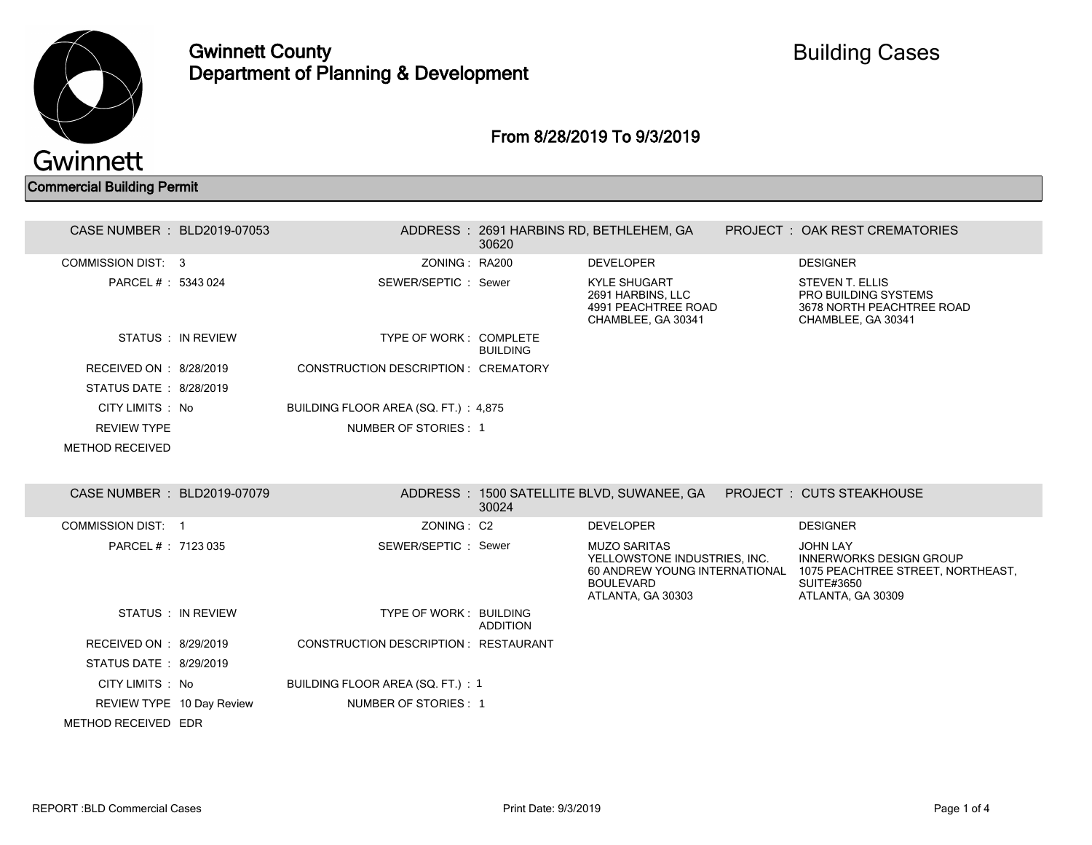

Gwinnett County Department of Planning & Development

### From 8/28/2019 To 9/3/2019

#### Commercial Building Permit

| CASE NUMBER : BLD2019-07053 |                    |                                       | 30620           | ADDRESS: 2691 HARBINS RD, BETHLEHEM, GA                                                                                       | PROJECT: OAK REST CREMATORIES                                                                                                    |  |
|-----------------------------|--------------------|---------------------------------------|-----------------|-------------------------------------------------------------------------------------------------------------------------------|----------------------------------------------------------------------------------------------------------------------------------|--|
| COMMISSION DIST: 3          |                    | ZONING: RA200                         |                 | <b>DEVELOPER</b>                                                                                                              | <b>DESIGNER</b>                                                                                                                  |  |
| PARCEL #: 5343 024          |                    | SEWER/SEPTIC: Sewer                   |                 | <b>KYLE SHUGART</b><br>2691 HARBINS, LLC<br>4991 PEACHTREE ROAD<br>CHAMBLEE, GA 30341                                         | <b>STEVEN T. ELLIS</b><br><b>PRO BUILDING SYSTEMS</b><br>3678 NORTH PEACHTREE ROAD<br>CHAMBLEE, GA 30341                         |  |
|                             | STATUS : IN REVIEW | TYPE OF WORK: COMPLETE                | <b>BUILDING</b> |                                                                                                                               |                                                                                                                                  |  |
| RECEIVED ON : 8/28/2019     |                    | CONSTRUCTION DESCRIPTION : CREMATORY  |                 |                                                                                                                               |                                                                                                                                  |  |
| STATUS DATE: 8/28/2019      |                    |                                       |                 |                                                                                                                               |                                                                                                                                  |  |
| CITY LIMITS: No             |                    | BUILDING FLOOR AREA (SQ. FT.) : 4,875 |                 |                                                                                                                               |                                                                                                                                  |  |
| <b>REVIEW TYPE</b>          |                    | NUMBER OF STORIES: 1                  |                 |                                                                                                                               |                                                                                                                                  |  |
| <b>METHOD RECEIVED</b>      |                    |                                       |                 |                                                                                                                               |                                                                                                                                  |  |
|                             |                    |                                       |                 |                                                                                                                               |                                                                                                                                  |  |
| CASE NUMBER : BLD2019-07079 |                    |                                       | 30024           | ADDRESS : 1500 SATELLITE BLVD, SUWANEE, GA                                                                                    | PROJECT: CUTS STEAKHOUSE                                                                                                         |  |
| COMMISSION DIST: 1          |                    | ZONING: C2                            |                 | <b>DEVELOPER</b>                                                                                                              | <b>DESIGNER</b>                                                                                                                  |  |
| PARCEL # : 7123 035         |                    | SEWER/SEPTIC: Sewer                   |                 | <b>MUZO SARITAS</b><br>YELLOWSTONE INDUSTRIES. INC.<br>60 ANDREW YOUNG INTERNATIONAL<br><b>BOULEVARD</b><br>ATLANTA, GA 30303 | <b>JOHN LAY</b><br><b>INNERWORKS DESIGN GROUP</b><br>1075 PEACHTREE STREET, NORTHEAST,<br><b>SUITE#3650</b><br>ATLANTA, GA 30309 |  |
|                             | STATUS : IN REVIEW | TYPE OF WORK: BUILDING                | <b>ADDITION</b> |                                                                                                                               |                                                                                                                                  |  |
| RECEIVED ON : 8/29/2019     |                    | CONSTRUCTION DESCRIPTION : RESTAURANT |                 |                                                                                                                               |                                                                                                                                  |  |
| STATUS DATE: 8/29/2019      |                    |                                       |                 |                                                                                                                               |                                                                                                                                  |  |
| CITY LIMITS : No            |                    | BUILDING FLOOR AREA (SQ. FT.) : 1     |                 |                                                                                                                               |                                                                                                                                  |  |
| REVIEW TYPE 10 Day Review   |                    | NUMBER OF STORIES: 1                  |                 |                                                                                                                               |                                                                                                                                  |  |
| METHOD RECEIVED EDR         |                    |                                       |                 |                                                                                                                               |                                                                                                                                  |  |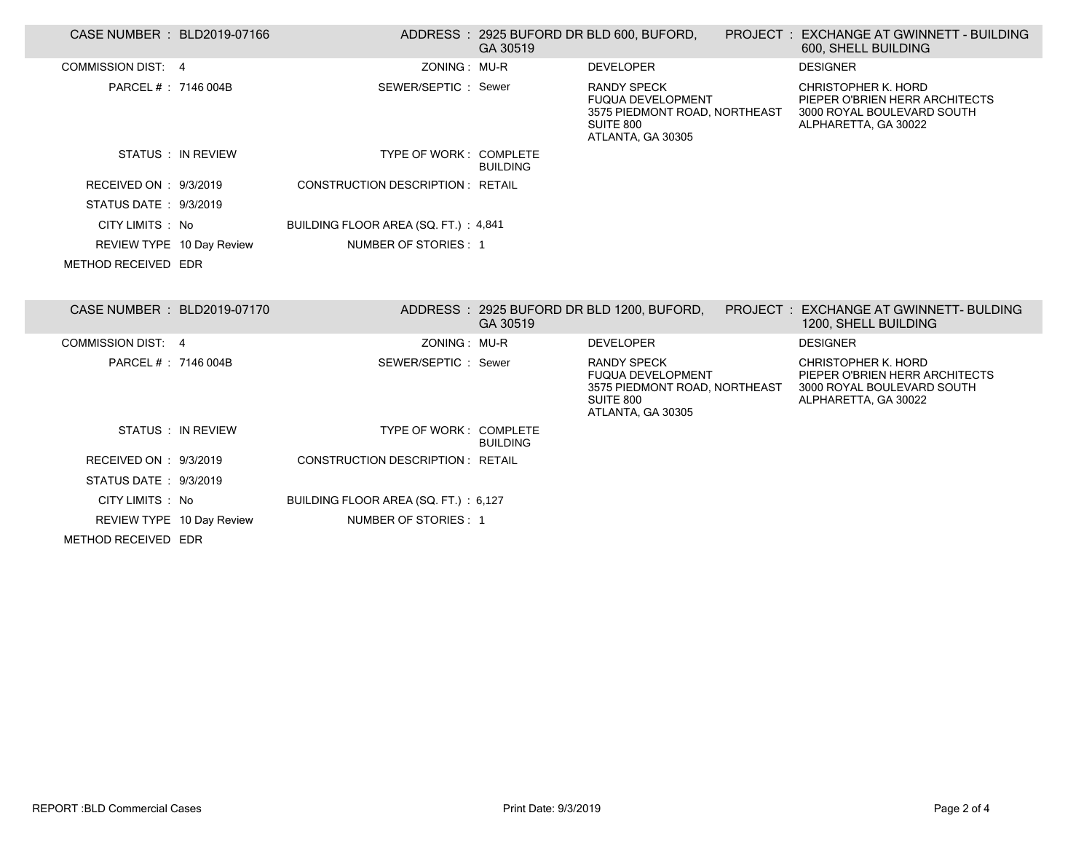| CASE NUMBER : BLD2019-07166 |                           |                                         | GA 30519        | ADDRESS: 2925 BUFORD DR BLD 600, BUFORD,                                                                          | PROJECT: EXCHANGE AT GWINNETT - BUILDING<br>600, SHELL BUILDING                                             |
|-----------------------------|---------------------------|-----------------------------------------|-----------------|-------------------------------------------------------------------------------------------------------------------|-------------------------------------------------------------------------------------------------------------|
| <b>COMMISSION DIST: 4</b>   |                           | ZONING: MU-R                            |                 | <b>DEVELOPER</b>                                                                                                  | <b>DESIGNER</b>                                                                                             |
| PARCEL # : 7146 004B        |                           | SEWER/SEPTIC: Sewer                     |                 | <b>RANDY SPECK</b><br><b>FUQUA DEVELOPMENT</b><br>3575 PIEDMONT ROAD, NORTHEAST<br>SUITE 800<br>ATLANTA, GA 30305 | CHRISTOPHER K. HORD<br>PIEPER O'BRIEN HERR ARCHITECTS<br>3000 ROYAL BOULEVARD SOUTH<br>ALPHARETTA, GA 30022 |
|                             | STATUS : IN REVIEW        | TYPE OF WORK: COMPLETE                  | <b>BUILDING</b> |                                                                                                                   |                                                                                                             |
| RECEIVED ON : 9/3/2019      |                           | <b>CONSTRUCTION DESCRIPTION: RETAIL</b> |                 |                                                                                                                   |                                                                                                             |
| STATUS DATE: 9/3/2019       |                           |                                         |                 |                                                                                                                   |                                                                                                             |
| CITY LIMITS : No            |                           | BUILDING FLOOR AREA (SQ. FT.) : 4,841   |                 |                                                                                                                   |                                                                                                             |
|                             | REVIEW TYPE 10 Day Review | NUMBER OF STORIES: 1                    |                 |                                                                                                                   |                                                                                                             |
| METHOD RECEIVED EDR         |                           |                                         |                 |                                                                                                                   |                                                                                                             |
| CASE NUMBER : BLD2019-07170 |                           |                                         | GA 30519        | ADDRESS: 2925 BUFORD DR BLD 1200, BUFORD,                                                                         | PROJECT: EXCHANGE AT GWINNETT- BULDING<br>1200, SHELL BUILDING                                              |
| COMMISSION DIST: 4          |                           | ZONING: MU-R                            |                 | <b>DEVELOPER</b>                                                                                                  | <b>DESIGNER</b>                                                                                             |
| PARCEL #: 7146 004B         |                           | SEWER/SEPTIC: Sewer                     |                 | <b>RANDY SPECK</b><br><b>FUQUA DEVELOPMENT</b><br>3575 PIEDMONT ROAD, NORTHEAST<br>SUITE 800<br>ATLANTA, GA 30305 | CHRISTOPHER K. HORD<br>PIEPER O'BRIEN HERR ARCHITECTS<br>3000 ROYAL BOULEVARD SOUTH<br>ALPHARETTA, GA 30022 |
|                             | STATUS : IN REVIEW        | TYPE OF WORK: COMPLETE                  | <b>BUILDING</b> |                                                                                                                   |                                                                                                             |
| RECEIVED ON : 9/3/2019      |                           | <b>CONSTRUCTION DESCRIPTION: RETAIL</b> |                 |                                                                                                                   |                                                                                                             |
| STATUS DATE: 9/3/2019       |                           |                                         |                 |                                                                                                                   |                                                                                                             |
| CITY LIMITS : No            |                           | BUILDING FLOOR AREA (SQ. FT.) : 6,127   |                 |                                                                                                                   |                                                                                                             |
| REVIEW TYPE 10 Day Review   |                           | NUMBER OF STORIES: 1                    |                 |                                                                                                                   |                                                                                                             |
| METHOD RECEIVED EDR         |                           |                                         |                 |                                                                                                                   |                                                                                                             |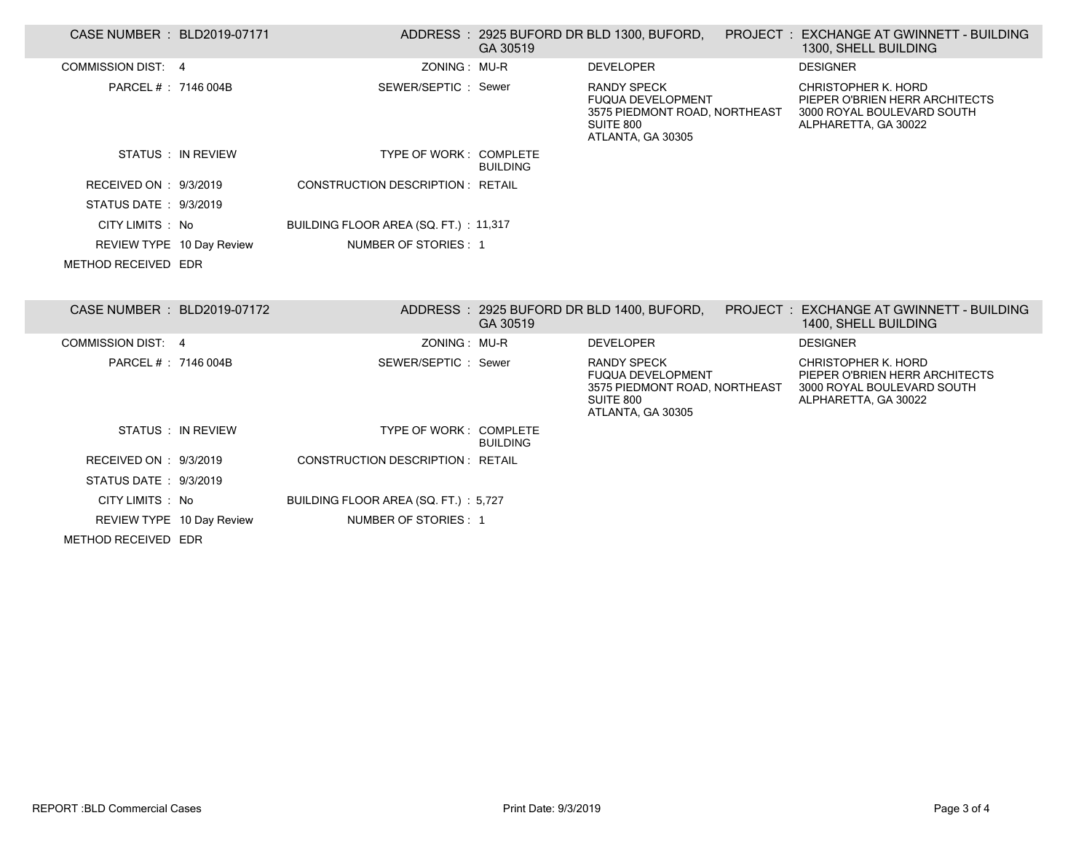| CASE NUMBER : BLD2019-07171 |                    |                                         | GA 30519        |                                                                                                                   | ADDRESS: 2925 BUFORD DR BLD 1300, BUFORD, PROJECT: EXCHANGE AT GWINNETT - BUILDING<br>1300, SHELL BUILDING  |
|-----------------------------|--------------------|-----------------------------------------|-----------------|-------------------------------------------------------------------------------------------------------------------|-------------------------------------------------------------------------------------------------------------|
| <b>COMMISSION DIST: 4</b>   |                    | ZONING: MU-R                            |                 | <b>DEVELOPER</b>                                                                                                  | <b>DESIGNER</b>                                                                                             |
| PARCEL # : 7146 004B        |                    | SEWER/SEPTIC: Sewer                     |                 | <b>RANDY SPECK</b><br><b>FUQUA DEVELOPMENT</b><br>3575 PIEDMONT ROAD, NORTHEAST<br>SUITE 800<br>ATLANTA, GA 30305 | CHRISTOPHER K. HORD<br>PIEPER O'BRIEN HERR ARCHITECTS<br>3000 ROYAL BOULEVARD SOUTH<br>ALPHARETTA, GA 30022 |
|                             | STATUS : IN REVIEW | TYPE OF WORK: COMPLETE                  | <b>BUILDING</b> |                                                                                                                   |                                                                                                             |
| RECEIVED ON : 9/3/2019      |                    | <b>CONSTRUCTION DESCRIPTION: RETAIL</b> |                 |                                                                                                                   |                                                                                                             |
| STATUS DATE: 9/3/2019       |                    |                                         |                 |                                                                                                                   |                                                                                                             |
| CITY LIMITS : No            |                    | BUILDING FLOOR AREA (SQ. FT.): 11,317   |                 |                                                                                                                   |                                                                                                             |
| REVIEW TYPE 10 Day Review   |                    | NUMBER OF STORIES: 1                    |                 |                                                                                                                   |                                                                                                             |
| METHOD RECEIVED EDR         |                    |                                         |                 |                                                                                                                   |                                                                                                             |
| CASE NUMBER : BLD2019-07172 |                    |                                         | GA 30519        | ADDRESS: 2925 BUFORD DR BLD 1400, BUFORD,                                                                         | PROJECT : EXCHANGE AT GWINNETT - BUILDING<br>1400, SHELL BUILDING                                           |
| COMMISSION DIST: 4          |                    | ZONING: MU-R                            |                 | <b>DEVELOPER</b>                                                                                                  | <b>DESIGNER</b>                                                                                             |
| PARCEL # : 7146 004B        |                    | SEWER/SEPTIC: Sewer                     |                 | <b>RANDY SPECK</b><br><b>FUQUA DEVELOPMENT</b><br>3575 PIEDMONT ROAD, NORTHEAST<br>SUITE 800<br>ATLANTA, GA 30305 | CHRISTOPHER K. HORD<br>PIEPER O'BRIEN HERR ARCHITECTS<br>3000 ROYAL BOULEVARD SOUTH<br>ALPHARETTA, GA 30022 |
|                             | STATUS : IN REVIEW | TYPE OF WORK: COMPLETE                  | <b>BUILDING</b> |                                                                                                                   |                                                                                                             |
| RECEIVED ON : 9/3/2019      |                    | CONSTRUCTION DESCRIPTION : RETAIL       |                 |                                                                                                                   |                                                                                                             |
| STATUS DATE : 9/3/2019      |                    |                                         |                 |                                                                                                                   |                                                                                                             |
|                             |                    |                                         |                 |                                                                                                                   |                                                                                                             |
| CITY LIMITS : No            |                    | BUILDING FLOOR AREA (SQ. FT.) : 5,727   |                 |                                                                                                                   |                                                                                                             |
| REVIEW TYPE 10 Day Review   |                    | NUMBER OF STORIES: 1                    |                 |                                                                                                                   |                                                                                                             |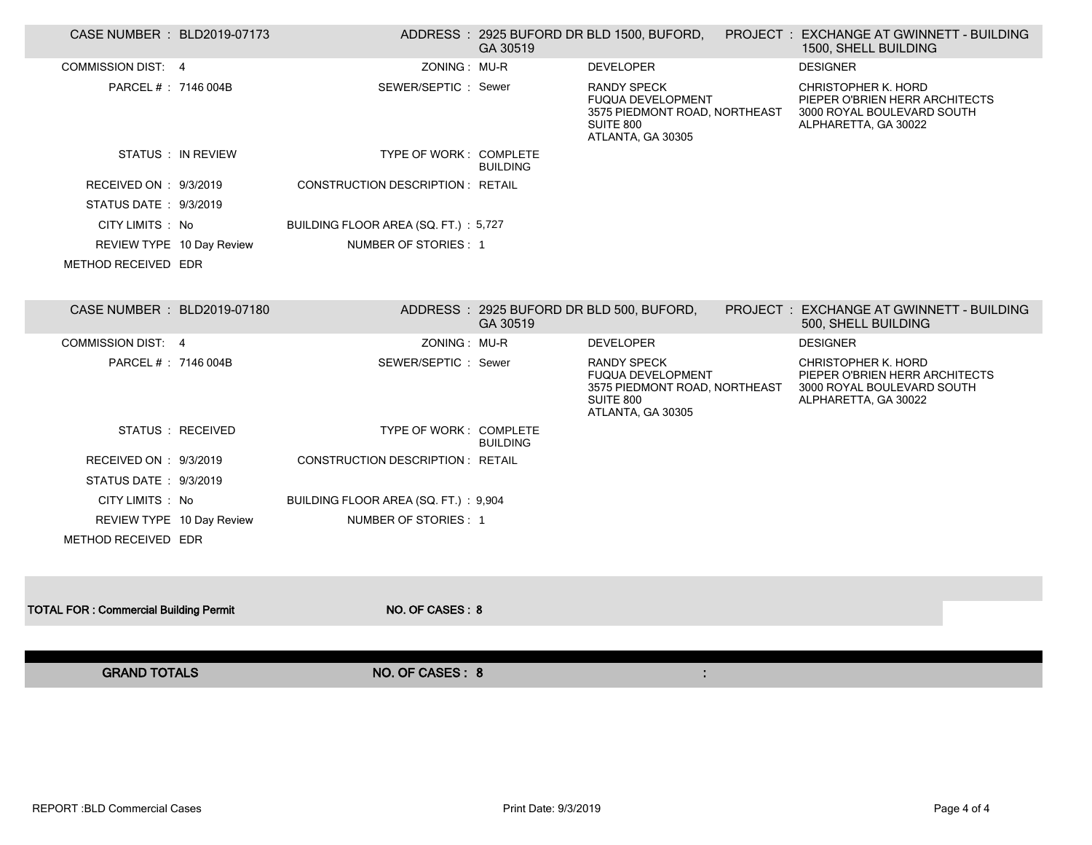| CASE NUMBER : BLD2019-07173                  |                                         | GA 30519        | ADDRESS: 2925 BUFORD DR BLD 1500, BUFORD,                                                                         | PROJECT: EXCHANGE AT GWINNETT - BUILDING<br>1500, SHELL BUILDING                                                   |  |
|----------------------------------------------|-----------------------------------------|-----------------|-------------------------------------------------------------------------------------------------------------------|--------------------------------------------------------------------------------------------------------------------|--|
| <b>COMMISSION DIST: 4</b>                    | ZONING: MU-R                            |                 | <b>DEVELOPER</b>                                                                                                  | <b>DESIGNER</b>                                                                                                    |  |
| PARCEL # : 7146 004B                         | SEWER/SEPTIC: Sewer                     |                 | <b>RANDY SPECK</b><br><b>FUQUA DEVELOPMENT</b><br>3575 PIEDMONT ROAD, NORTHEAST<br>SUITE 800<br>ATLANTA, GA 30305 | <b>CHRISTOPHER K. HORD</b><br>PIEPER O'BRIEN HERR ARCHITECTS<br>3000 ROYAL BOULEVARD SOUTH<br>ALPHARETTA, GA 30022 |  |
| STATUS : IN REVIEW                           | TYPE OF WORK: COMPLETE                  | <b>BUILDING</b> |                                                                                                                   |                                                                                                                    |  |
| RECEIVED ON : 9/3/2019                       | <b>CONSTRUCTION DESCRIPTION: RETAIL</b> |                 |                                                                                                                   |                                                                                                                    |  |
| STATUS DATE: 9/3/2019                        |                                         |                 |                                                                                                                   |                                                                                                                    |  |
| CITY LIMITS : No                             | BUILDING FLOOR AREA (SQ. FT.): 5,727    |                 |                                                                                                                   |                                                                                                                    |  |
| REVIEW TYPE 10 Day Review                    | NUMBER OF STORIES: 1                    |                 |                                                                                                                   |                                                                                                                    |  |
| METHOD RECEIVED EDR                          |                                         |                 |                                                                                                                   |                                                                                                                    |  |
|                                              |                                         |                 |                                                                                                                   |                                                                                                                    |  |
| CASE NUMBER : BLD2019-07180                  |                                         | GA 30519        | ADDRESS: 2925 BUFORD DR BLD 500, BUFORD,                                                                          | PROJECT: EXCHANGE AT GWINNETT - BUILDING<br>500, SHELL BUILDING                                                    |  |
| <b>COMMISSION DIST: 4</b>                    | ZONING: MU-R                            |                 | <b>DEVELOPER</b>                                                                                                  | <b>DESIGNER</b>                                                                                                    |  |
| PARCEL # : 7146 004B                         | SEWER/SEPTIC: Sewer                     |                 | <b>RANDY SPECK</b><br><b>FUQUA DEVELOPMENT</b><br>3575 PIEDMONT ROAD, NORTHEAST<br>SUITE 800<br>ATLANTA, GA 30305 | CHRISTOPHER K. HORD<br>PIEPER O'BRIEN HERR ARCHITECTS<br>3000 ROYAL BOULEVARD SOUTH<br>ALPHARETTA, GA 30022        |  |
| STATUS : RECEIVED                            | TYPE OF WORK: COMPLETE                  | <b>BUILDING</b> |                                                                                                                   |                                                                                                                    |  |
| RECEIVED ON : 9/3/2019                       | <b>CONSTRUCTION DESCRIPTION: RETAIL</b> |                 |                                                                                                                   |                                                                                                                    |  |
| STATUS DATE: 9/3/2019                        |                                         |                 |                                                                                                                   |                                                                                                                    |  |
| CITY LIMITS : No                             | BUILDING FLOOR AREA (SQ. FT.): 9,904    |                 |                                                                                                                   |                                                                                                                    |  |
| REVIEW TYPE 10 Day Review                    | NUMBER OF STORIES: 1                    |                 |                                                                                                                   |                                                                                                                    |  |
| METHOD RECEIVED EDR                          |                                         |                 |                                                                                                                   |                                                                                                                    |  |
|                                              |                                         |                 |                                                                                                                   |                                                                                                                    |  |
|                                              |                                         |                 |                                                                                                                   |                                                                                                                    |  |
| <b>TOTAL FOR: Commercial Building Permit</b> | NO. OF CASES: 8                         |                 |                                                                                                                   |                                                                                                                    |  |
|                                              |                                         |                 |                                                                                                                   |                                                                                                                    |  |
|                                              |                                         |                 |                                                                                                                   |                                                                                                                    |  |
| <b>GRAND TOTALS</b>                          | NO. OF CASES: 8                         |                 |                                                                                                                   |                                                                                                                    |  |
|                                              |                                         |                 |                                                                                                                   |                                                                                                                    |  |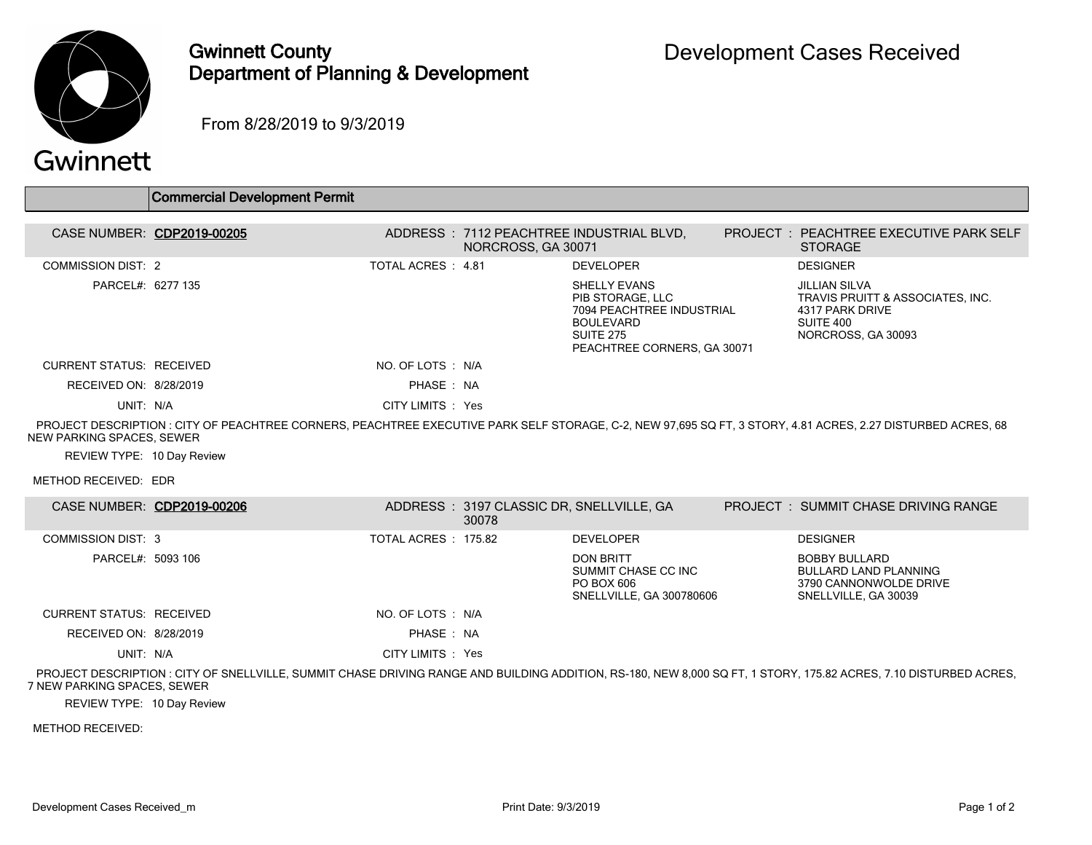

## Gwinnett County Department of Planning & Development

From 8/28/2019 to 9/3/2019

# Gwinnett

|                            | <b>Commercial Development Permit</b> |                    |                    |                                                                                                                                             |                                                                                                                                                              |
|----------------------------|--------------------------------------|--------------------|--------------------|---------------------------------------------------------------------------------------------------------------------------------------------|--------------------------------------------------------------------------------------------------------------------------------------------------------------|
| CASE NUMBER: CDP2019-00205 |                                      |                    | NORCROSS, GA 30071 | ADDRESS: 7112 PEACHTREE INDUSTRIAL BLVD.                                                                                                    | <b>PROJECT : PEACHTREE EXECUTIVE PARK SELF</b><br><b>STORAGE</b>                                                                                             |
| <b>COMMISSION DIST: 2</b>  |                                      | TOTAL ACRES : 4.81 |                    | <b>DEVELOPER</b>                                                                                                                            | <b>DESIGNER</b>                                                                                                                                              |
| PARCEL#: 6277 135          |                                      |                    |                    | <b>SHELLY EVANS</b><br>PIB STORAGE, LLC<br>7094 PEACHTREE INDUSTRIAL<br><b>BOULEVARD</b><br><b>SUITE 275</b><br>PEACHTREE CORNERS, GA 30071 | <b>JILLIAN SILVA</b><br>TRAVIS PRUITT & ASSOCIATES. INC.<br>4317 PARK DRIVE<br>SUITE 400<br>NORCROSS, GA 30093                                               |
| CURRENT STATUS: RECEIVED   |                                      | NO. OF LOTS : N/A  |                    |                                                                                                                                             |                                                                                                                                                              |
| RECEIVED ON: 8/28/2019     |                                      | PHASE: NA          |                    |                                                                                                                                             |                                                                                                                                                              |
| UNIT: N/A                  |                                      | CITY LIMITS : Yes  |                    |                                                                                                                                             |                                                                                                                                                              |
| NEW PARKING SPACES. SEWER  |                                      |                    |                    |                                                                                                                                             | PROJECT DESCRIPTION : CITY OF PEACHTREE CORNERS, PEACHTREE EXECUTIVE PARK SELF STORAGE, C-2, NEW 97,695 SQ FT, 3 STORY, 4.81 ACRES, 2.27 DISTURBED ACRES, 68 |

REVIEW TYPE: 10 Day Review

METHOD RECEIVED: EDR

| CASE NUMBER: CDP2019-00206      |                      | ADDRESS: 3197 CLASSIC DR, SNELLVILLE, GA<br>30078 |                                                                                   | <b>PROJECT : SUMMIT CHASE DRIVING RANGE</b>                                                            |
|---------------------------------|----------------------|---------------------------------------------------|-----------------------------------------------------------------------------------|--------------------------------------------------------------------------------------------------------|
| <b>COMMISSION DIST: 3</b>       | TOTAL ACRES : 175.82 |                                                   | <b>DEVELOPER</b>                                                                  | <b>DESIGNER</b>                                                                                        |
| PARCEL#: 5093 106               |                      |                                                   | <b>DON BRITT</b><br>SUMMIT CHASE CC INC<br>PO BOX 606<br>SNELLVILLE, GA 300780606 | <b>BOBBY BULLARD</b><br><b>BULLARD LAND PLANNING</b><br>3790 CANNONWOLDE DRIVE<br>SNELLVILLE, GA 30039 |
| <b>CURRENT STATUS: RECEIVED</b> | NO. OF LOTS : N/A    |                                                   |                                                                                   |                                                                                                        |
| RECEIVED ON: 8/28/2019          | PHASE: NA            |                                                   |                                                                                   |                                                                                                        |
| UNIT: N/A                       | CITY LIMITS : Yes    |                                                   |                                                                                   |                                                                                                        |

 PROJECT DESCRIPTION : CITY OF SNELLVILLE, SUMMIT CHASE DRIVING RANGE AND BUILDING ADDITION, RS-180, NEW 8,000 SQ FT, 1 STORY, 175.82 ACRES, 7.10 DISTURBED ACRES, 7 NEW PARKING SPACES, SEWER

REVIEW TYPE: 10 Day Review

METHOD RECEIVED: